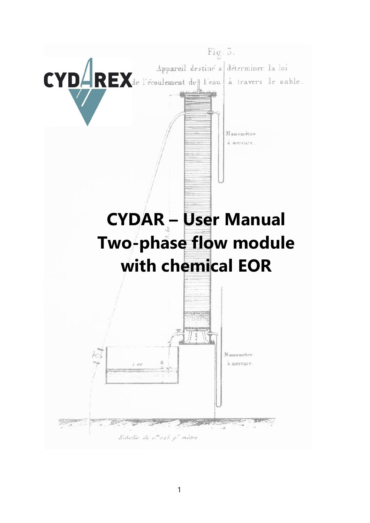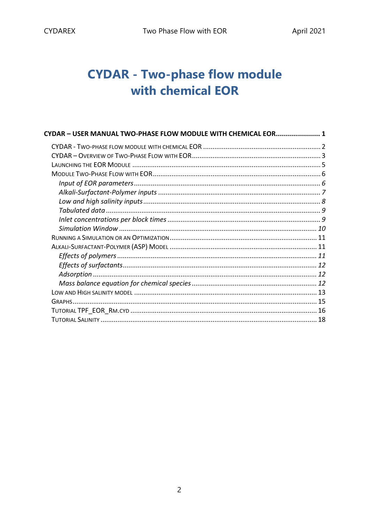# **CYDAR - Two-phase flow module** with chemical EOR

| CYDAR - USER MANUAL TWO-PHASE FLOW MODULE WITH CHEMICAL EOR 1 |  |
|---------------------------------------------------------------|--|
|                                                               |  |
|                                                               |  |
|                                                               |  |
|                                                               |  |
|                                                               |  |
|                                                               |  |
|                                                               |  |
|                                                               |  |
|                                                               |  |
|                                                               |  |
|                                                               |  |
|                                                               |  |
|                                                               |  |
|                                                               |  |
|                                                               |  |
|                                                               |  |
|                                                               |  |
|                                                               |  |
|                                                               |  |
|                                                               |  |
|                                                               |  |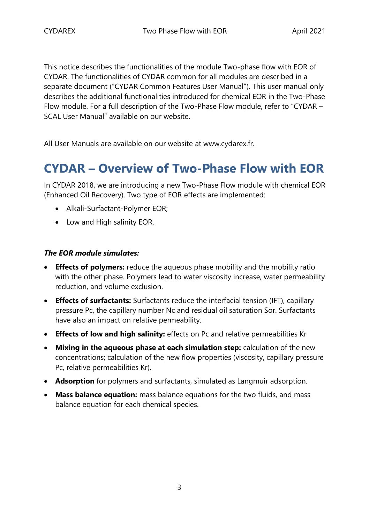This notice describes the functionalities of the module Two-phase flow with EOR of CYDAR. The functionalities of CYDAR common for all modules are described in a separate document ("CYDAR Common Features User Manual"). This user manual only describes the additional functionalities introduced for chemical EOR in the Two-Phase Flow module. For a full description of the Two-Phase Flow module, refer to "CYDAR – SCAL User Manual" available on our website.

All User Manuals are available on our website at www.cydarex.fr.

# **CYDAR – Overview of Two-Phase Flow with EOR**

In CYDAR 2018, we are introducing a new Two-Phase Flow module with chemical EOR (Enhanced Oil Recovery). Two type of EOR effects are implemented:

- Alkali-Surfactant-Polymer EOR;
- Low and High salinity EOR.

### *The EOR module simulates:*

- **Effects of polymers:** reduce the aqueous phase mobility and the mobility ratio with the other phase. Polymers lead to water viscosity increase, water permeability reduction, and volume exclusion.
- **Effects of surfactants:** Surfactants reduce the interfacial tension (IFT), capillary pressure Pc, the capillary number Nc and residual oil saturation Sor. Surfactants have also an impact on relative permeability.
- **Effects of low and high salinity:** effects on Pc and relative permeabilities Kr
- **Mixing in the aqueous phase at each simulation step:** calculation of the new concentrations; calculation of the new flow properties (viscosity, capillary pressure Pc, relative permeabilities Kr).
- **Adsorption** for polymers and surfactants, simulated as Langmuir adsorption.
- **Mass balance equation:** mass balance equations for the two fluids, and mass balance equation for each chemical species.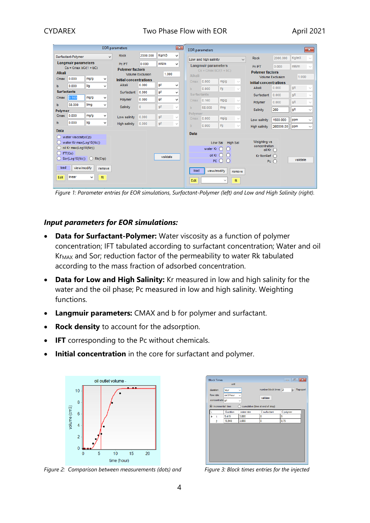|                    | <b>EOR</b> parameters                                       |            |              |                                  |                                  | $\sqrt{2}$    |                    | <b>EOR</b> parameters    |                            |                                           |              |                                                    |                         | $\mathbf{x}$ |              |
|--------------------|-------------------------------------------------------------|------------|--------------|----------------------------------|----------------------------------|---------------|--------------------|--------------------------|----------------------------|-------------------------------------------|--------------|----------------------------------------------------|-------------------------|--------------|--------------|
|                    | Surfactant-Polymer                                          |            | $\checkmark$ | <b>Rock</b>                      | 2000.000                         | Kg/m3         | v                  |                          | Low and high salinity      |                                           | $\checkmark$ | <b>Rock</b>                                        | 2000.000                | Kg/m3        | $\checkmark$ |
| <b>Alkali</b>      | <b>Langmuir parameters</b><br>$Cs = Cmax bC/(1 + bC)$       |            |              | Pc IFT<br><b>Polymer factors</b> | 0.000<br><b>Volume Exclusion</b> | mN/m<br>1.000 | $\checkmark$       |                          | <b>Langmuir parameters</b> | $Cs = Cmax bC/(1 + bC)$                   |              | Pc IFT<br><b>Polymer factors</b>                   | 0.000                   | mN/m         | $\sim$       |
| Cmax               | 0.000                                                       | mq/q       | v            | <b>Initial concentrations</b>    |                                  |               |                    | Alkali                   |                            |                                           |              |                                                    | <b>Volume Exclusion</b> | 1.000        |              |
| b                  | 0.000                                                       | Vq         | v            | Alkali                           | 0.000                            | g/l           | v                  | Cmax                     | 0.000                      | mg/g                                      | $\sim$       | <b>Initial concentrations</b><br>Alkali            | 0.000                   | g/l          | $\sim$       |
| <b>Surfactants</b> |                                                             |            |              | Surfactant                       | 0.000                            | g/l           | v                  | b.<br><b>Surfactants</b> | 0.000                      | Vq                                        | $\sim$       |                                                    |                         |              |              |
| Cmax               | 0.160                                                       | mg/g       | ٧            | Polymer                          | 0.000                            | g/l           | v                  | Cmax                     | 0.160                      | mg/g                                      | $\sim$       | Surfactant                                         | 0.000                   | g/l          | $\sim$       |
| b                  | 58.000                                                      | <b>Vmq</b> | v            | Salinity                         | $\mathbf{0}$                     | g/l           | $\epsilon_{\rm s}$ | b.                       | 58,000                     | <b>Vmq</b>                                |              | Polymer                                            | 0.000                   | g/l          | $\sim$       |
| Polymer            |                                                             |            |              |                                  |                                  |               |                    | Polymer                  |                            |                                           | $\searrow$   | Salinity                                           | 260                     | g/l          | $\checkmark$ |
| Cmax               | 0.000                                                       | mg/g       | ٧            | Low salinity                     | 0.000                            | g/l           | $\mathcal{Q}$      | Cmax                     | 0.000                      | mg/g                                      | $\sim$       | Low salinity                                       | 1500.000                | ppm          | $\checkmark$ |
| b                  | 0.000                                                       | Vg         | v            | <b>High salinity</b>             | 0.000                            | g/l           | $\mathcal{Q}$      | b.                       | 0.000                      | Vq                                        | $\checkmark$ | <b>High salinity</b>                               | 260000.00               | ppm          | $\checkmark$ |
| <b>Data</b>        | water viscosity(Cp)                                         |            |              |                                  |                                  |               |                    | <b>Data</b>              |                            |                                           |              |                                                    |                         |              |              |
|                    | water Kr max(Log10(Nc))<br>oil Kr max(Log10(Nc))<br>IFT(Cs) |            |              |                                  |                                  |               |                    |                          | water $Kr$ $()$            | Low Sal High Sal<br>$\bigcirc$            |              | Weighting vs<br>concentration<br>oil Kr $\bigcirc$ |                         |              |              |
|                    | Sor(Log10(Nc))                                              | $\bigcap$  | Rk(Crp)      |                                  |                                  | validate      |                    |                          |                            | $oil$ Kr $O$<br>$\circ$<br>PCO<br>$\circ$ |              | $Kr$ NonRef $\bigcap$                              | Pc $\bigcap$            | validate     |              |

*Figure 1: Parameter entries for EOR simulations, Surfactant-Polymer (left) and Low and High Salinity (right).*

#### *Input parameters for EOR simulations:*

- **Data for Surfactant-Polymer:** Water viscosity as a function of polymer concentration; IFT tabulated according to surfactant concentration; Water and oil Kr<sub>MAX</sub> and Sor; reduction factor of the permeability to water Rk tabulated according to the mass fraction of adsorbed concentration.
- **Data for Low and High Salinity:** Kr measured in low and high salinity for the water and the oil phase; Pc measured in low and high salinity. Weighting functions.
- **Langmuir parameters:** CMAX and b for polymer and surfactant.
- **Rock density** to account for the adsorption.
- **IFT** corresponding to the Pc without chemicals.
- **Initial concentration** in the core for surfactant and polymer.



 $\begin{array}{c|c|c|c|c|c} \hline \multicolumn{3}{c|}{\mathbf{C}} & \multicolumn{3}{c|}{\mathbf{C}} \\ \hline \multicolumn{3}{c|}{\mathbf{D}} & \multicolumn{3}{c|}{\mathbf{D}} \\ \hline \multicolumn{3}{c|}{\mathbf{D}} & \multicolumn{3}{c|}{\mathbf{D}} \\ \hline \multicolumn{3}{c|}{\mathbf{D}} & \multicolumn{3}{c|}{\mathbf{D}} \\ \hline \multicolumn{3}{c|}{\mathbf{D}} & \multicolumn{3}{c|}{\mathbf{D}} \\ \hline \multicolumn{3}{c|}{\mathbf{D$ **Rlock Time**  $\boxed{\triangle}$  Rapopor  $m3$ hr Duration C surfactant C polym  $\frac{5,419}{16,94}$  $\frac{1}{2}$  nm

*Figure 2: Comparison between measurements (dots) and Figure 3: Block times entries for the injected*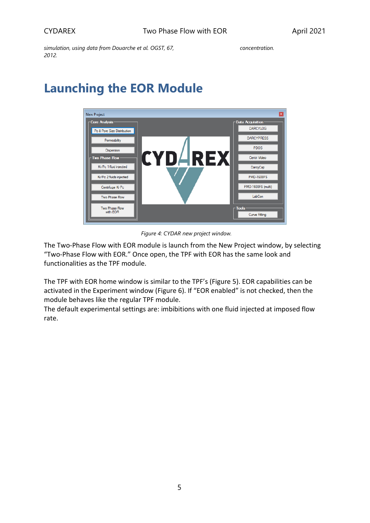*simulation, using data from Douarche et al. OGST, 67, 2012.*

# **Launching the EOR Module**



*Figure 4: CYDAR new project window.*

The Two-Phase Flow with EOR module is launch from the New Project window, by selecting "Two-Phase Flow with EOR." Once open, the TPF with EOR has the same look and functionalities as the TPF module.

The TPF with EOR home window is similar to the TPF's [\(Figure 5\)](#page-5-0). EOR capabilities can be activated in the Experiment window [\(Figure 6\)](#page-5-1). If "EOR enabled" is not checked, then the module behaves like the regular TPF module.

The default experimental settings are: imbibitions with one fluid injected at imposed flow rate.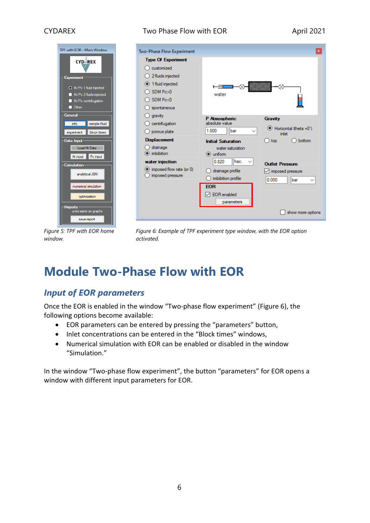



 $\overline{\mathbf{x}}$ Two-Phase Flow Experiment **Type Of Experiment**  $\bigcirc$  customized ◯ 2 fluids injected <sup>1</sup> fluid injected ᆖ  $O$  SDM Pc>0 water  $O$  SDM Pc<0  $\bigcirc$  spontaneous  $\bigcirc$  aravity P Atmospheric Gravity  $\bigcirc$  centrifugation absolute value ● Horizontal (theta = 0°) 1.000 **Ibar**  $\checkmark$  $\bigcirc$  porous plate inlet **Displacement**  $\bigcirc$  top  $\bigcirc$  bottom **Initial Saturation**  $\bigcap$  drainage water saturation  $\odot$  imbibition  $\odot$  uniform 0.820 water injection frac.  $\checkmark$ **Outlet Pressure** (c) imposed flow rate (or 0)  $\bigcirc$  drainage profile  $\boxed{\smile}$  imposed pressure  $\bigcirc$  imposed pressure  $\bigcirc$  imbibition profile  $0.000$ bar  $\checkmark$ **EOR**  $\boxed{\triangle}$  EOR enabled parameters show more options

<span id="page-5-0"></span>*Figure 5: TPF with EOR home window.*

<span id="page-5-1"></span>*Figure 6: Example of TPF experiment type window, with the EOR option activated.*

# **Module Two-Phase Flow with EOR**

# *Input of EOR parameters*

Once the EOR is enabled in the window "Two-phase flow experiment" [\(Figure 6\)](#page-5-1), the following options become available:

- EOR parameters can be entered by pressing the "parameters" button,
- Inlet concentrations can be entered in the "Block times" windows,
- Numerical simulation with EOR can be enabled or disabled in the window "Simulation."

In the window "Two-phase flow experiment", the button "parameters" for EOR opens a window with different input parameters for EOR.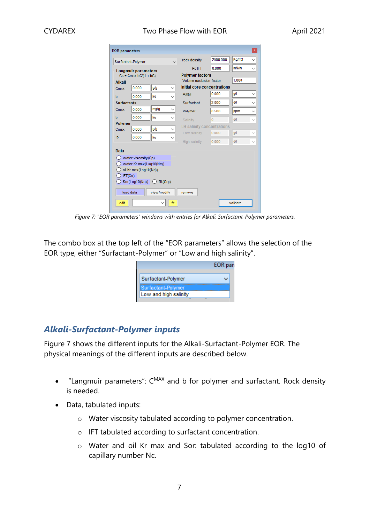|                    | Surfactant-Polymer                             |                    |              | rock density                      | 2000.000       | Kg/m3 | $\checkmark$ |
|--------------------|------------------------------------------------|--------------------|--------------|-----------------------------------|----------------|-------|--------------|
|                    | <b>Langmuir parameters</b>                     |                    |              | Pc IFT                            | 0.000          | mN/m  | $\checkmark$ |
|                    | $Cs = Cmax bC/(1 + bC)$                        |                    |              | <b>Polymer factors</b>            |                |       |              |
| <b>Alkali</b>      |                                                |                    |              | Volume exclusion factor           |                | 1.000 |              |
| Cmax               | 0.000                                          | g/g                | $\checkmark$ | Initial core concentrations       |                |       |              |
| b                  | 0.000                                          | Vq                 |              | Alkali                            | 0.000          | q/l   |              |
| <b>Surfactants</b> |                                                |                    |              | Surfactant                        | 2.000          | q/l   |              |
| Cmax               | 0.000                                          | mg/g               |              | Polymer                           | 0.500          | ppm   | $\checkmark$ |
| b                  | 0.000                                          | Vq                 |              | Salinity                          | $\overline{0}$ | a/l   |              |
| Polymer            |                                                |                    |              | <b>LH salinity concentrations</b> |                |       |              |
| Cmax               | 0.000                                          | g/g                |              | Low salinity                      | 0.000          | q/l   |              |
| b                  | 0.000                                          | Vq                 | $\checkmark$ | High salinity                     | 0.000          | q/l   |              |
|                    |                                                |                    |              |                                   |                |       |              |
| Data               |                                                |                    |              |                                   |                |       |              |
|                    | water viscosity(Cp)<br>water Kr max(Log10(Nc)) |                    |              |                                   |                |       |              |
|                    | oil Kr max(Log10(Nc))                          |                    |              |                                   |                |       |              |
| IFT(Cs)            |                                                |                    |              |                                   |                |       |              |
|                    | Sor(Log10(Nc))                                 | $\bigcirc$ Rk(Crp) |              |                                   |                |       |              |
|                    |                                                |                    |              |                                   |                |       |              |
|                    |                                                |                    |              |                                   |                |       |              |

*Figure 7: "EOR parameters" windows with entries for Alkali-Surfactant-Polymer parameters.*

<span id="page-6-0"></span>The combo box at the top left of the "EOR parameters" allows the selection of the EOR type, either "Surfactant-Polymer" or "Low and high salinity".



# *Alkali-Surfactant-Polymer inputs*

[Figure 7](#page-6-0) shows the different inputs for the Alkali-Surfactant-Polymer EOR. The physical meanings of the different inputs are described below.

- "Langmuir parameters":  $C^{MAX}$  and b for polymer and surfactant. Rock density is needed.
- Data, tabulated inputs:
	- o Water viscosity tabulated according to polymer concentration.
	- o IFT tabulated according to surfactant concentration.
	- o Water and oil Kr max and Sor: tabulated according to the log10 of capillary number Nc.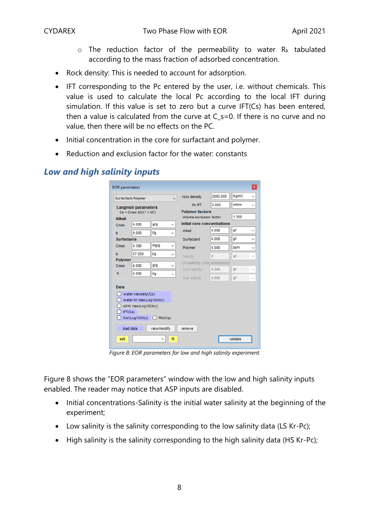- $\circ$  The reduction factor of the permeability to water R<sub>k</sub> tabulated according to the mass fraction of adsorbed concentration.
- Rock density: This is needed to account for adsorption.
- IFT corresponding to the Pc entered by the user, i.e. without chemicals. This value is used to calculate the local Pc according to the local IFT during simulation. If this value is set to zero but a curve IFT(Cs) has been entered, then a value is calculated from the curve at C\_s=0. If there is no curve and no value, then there will be no effects on the PC.
- Initial concentration in the core for surfactant and polymer.
- Reduction and exclusion factor for the water: constants

|                         | Surfactant-Polymer         |                          | rock density                      | 2000.000       | Kg/m3 |  |
|-------------------------|----------------------------|--------------------------|-----------------------------------|----------------|-------|--|
|                         | <b>Langmuir parameters</b> |                          | Pc IFT                            | 0.000          | mN/m  |  |
| $Cs = Cmax bC/(1 + bC)$ |                            |                          | <b>Polymer factors</b>            |                |       |  |
| <b>Alkali</b>           |                            |                          | Volume exclusion factor           |                | 1.000 |  |
| Cmax                    | 0.000                      | g/g<br>$\checkmark$      | Initial core concentrations       |                |       |  |
| b                       | 0.000                      | Vq<br>$\checkmark$       | Alkali                            | 0.000          | q/l   |  |
| <b>Surfactants</b>      |                            |                          | Surfactant                        | 0.000          | g/l   |  |
| Cmax                    | 0.380                      | mg/g                     | Polymer                           | 0.000          | ppm   |  |
| b                       | 57.830                     | Vq<br>$\checkmark$       | Salinity                          | $\overline{0}$ | q/l   |  |
| Polymer                 |                            |                          | <b>LH salinity concentrations</b> |                |       |  |
| Cmax                    | 0.000                      | g/g<br>$\checkmark$      | Low salinity                      | 0.000          | g/l   |  |
| b                       | 0.000                      | Va<br>$\checkmark$       | High salinity                     | 0.000          | g/l   |  |
| <b>Data</b>             |                            |                          |                                   |                |       |  |
|                         | water viscosity(Cp)        |                          |                                   |                |       |  |
|                         | water Kr max(Log10(Nc))    |                          |                                   |                |       |  |
|                         | oil Kr max(Log10(Nc))      |                          |                                   |                |       |  |
|                         | IFT(Cs)                    |                          |                                   |                |       |  |
|                         |                            | $Sor(Log10(Nc))$ Rk(Crp) |                                   |                |       |  |
|                         | load data                  | view/modify              |                                   |                |       |  |

## *Low and high salinity inputs*

*Figure 8: EOR parameters for low and high salinity experiment.*

<span id="page-7-0"></span>[Figure 8](#page-7-0) shows the "EOR parameters" window with the low and high salinity inputs enabled. The reader may notice that ASP inputs are disabled.

- Initial concentrations-Salinity is the initial water salinity at the beginning of the experiment;
- Low salinity is the salinity corresponding to the low salinity data (LS Kr-Pc);
- High salinity is the salinity corresponding to the high salinity data (HS Kr-Pc);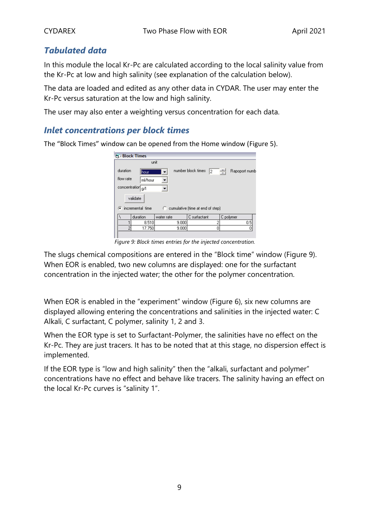# *Tabulated data*

In this module the local Kr-Pc are calculated according to the local salinity value from the Kr-Pc at low and high salinity (see explanation of the calculation below).

The data are loaded and edited as any other data in CYDAR. The user may enter the Kr-Pc versus saturation at the low and high salinity.

The user may also enter a weighting versus concentration for each data.

## *Inlet concentrations per block times*

The "Block Times" window can be opened from the Home window ([Figure 5\)](#page-5-0).

|               | <b>PL Block Times</b> |            |       |                                  |   |           |               |  |  |  |
|---------------|-----------------------|------------|-------|----------------------------------|---|-----------|---------------|--|--|--|
|               | unit                  |            |       |                                  |   |           |               |  |  |  |
| duration      | <b>thour</b>          | ▼          |       | number block times               | 2 | ÷         | Rapoport numb |  |  |  |
|               | flow rate<br>ml/hour  |            |       |                                  |   |           |               |  |  |  |
| concentration | g/l                   |            |       |                                  |   |           |               |  |  |  |
|               | validate              |            |       |                                  |   |           |               |  |  |  |
|               | ⊙ incremental time    | o.         |       | cumulative (time at end of step) |   |           |               |  |  |  |
|               | duration              | water rate |       | C surfactant                     |   | C polymer |               |  |  |  |
|               | 8.510                 |            | 9.000 |                                  | 2 |           | 0.5           |  |  |  |
| 2             | 17.750                |            | 9.000 |                                  | ۵ |           |               |  |  |  |
|               |                       |            |       |                                  |   |           |               |  |  |  |

*Figure 9: Block times entries for the injected concentration.*

<span id="page-8-0"></span>The slugs chemical compositions are entered in the "Block time" window [\(Figure 9\)](#page-8-0). When EOR is enabled, two new columns are displayed: one for the surfactant concentration in the injected water; the other for the polymer concentration.

When EOR is enabled in the "experiment" window ([Figure 6\)](#page-5-1), six new columns are displayed allowing entering the concentrations and salinities in the injected water: C Alkali, C surfactant, C polymer, salinity 1, 2 and 3.

When the EOR type is set to Surfactant-Polymer, the salinities have no effect on the Kr-Pc. They are just tracers. It has to be noted that at this stage, no dispersion effect is implemented.

If the EOR type is "low and high salinity" then the "alkali, surfactant and polymer" concentrations have no effect and behave like tracers. The salinity having an effect on the local Kr-Pc curves is "salinity 1".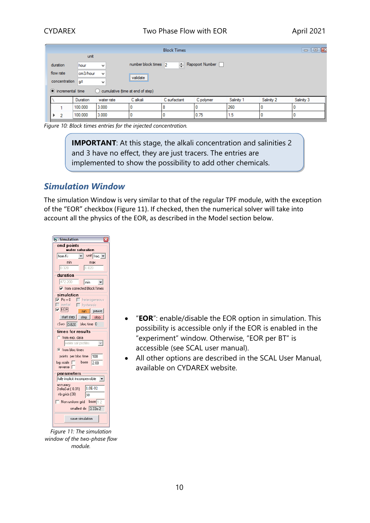|          |                            |                 |                                          |                           | <b>Block Times</b> |                 |            |            | $\Box$ $\Box$<br>$\Box$ |
|----------|----------------------------|-----------------|------------------------------------------|---------------------------|--------------------|-----------------|------------|------------|-------------------------|
|          |                            | unit            |                                          |                           |                    |                 |            |            |                         |
| duration |                            | hour            | $\checkmark$                             | number block times 2      |                    | Rapoport Number |            |            |                         |
|          | flow rate<br>concentration | cm3/hour<br>a/l | $\overline{\phantom{a}}$<br>$\checkmark$ | <br>validate<br><u> :</u> |                    |                 |            |            |                         |
|          | • incremental time         |                 | cumulative (time at end of step)         |                           |                    |                 |            |            |                         |
|          |                            | Duration        | water rate                               | C alkali                  | C surfactant       | C polymer       | Salinity 1 | Salinity 2 | Salinity 3              |
|          |                            | 100,000         | 3.000                                    |                           | 8                  | u               | 260        |            |                         |
|          | $\overline{2}$             | 100,000         | 3.000                                    |                           | 0                  | 0.75            | 1.5        |            |                         |

*Figure 10: Block times entries for the injected concentration.*

**IMPORTANT:** At this stage, the alkali concentration and salinities 2 and 3 have no effect, they are just tracers. The entries are implemented to show the possibility to add other chemicals.

## *Simulation Window*

The simulation Window is very similar to that of the regular TPF module, with the exception of the "EOR" checkbox ([Figure 11\)](#page-9-0). If checked, then the numerical solver will take into account all the physics of the EOR, as described in the Model section below.



<span id="page-9-0"></span>*Figure 11: The simulation window of the two-phase flow module.*

- "**EOR**": enable/disable the EOR option in simulation. This possibility is accessible only if the EOR is enabled in the "experiment" window. Otherwise, "EOR per BT" is accessible (see SCAL user manual).
- All other options are described in the SCAL User Manual, available on CYDAREX website.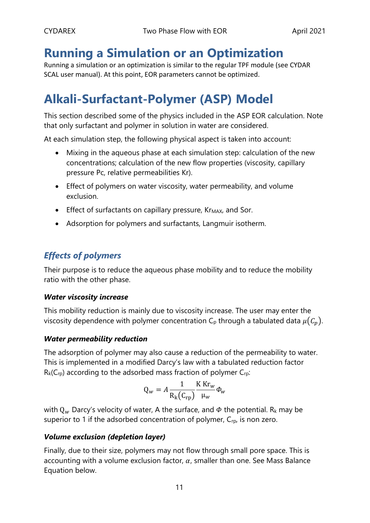# **Running a Simulation or an Optimization**

Running a simulation or an optimization is similar to the regular TPF module (see CYDAR SCAL user manual). At this point, EOR parameters cannot be optimized.

# **Alkali-Surfactant-Polymer (ASP) Model**

This section described some of the physics included in the ASP EOR calculation. Note that only surfactant and polymer in solution in water are considered.

At each simulation step, the following physical aspect is taken into account:

- Mixing in the aqueous phase at each simulation step: calculation of the new concentrations; calculation of the new flow properties (viscosity, capillary pressure Pc, relative permeabilities Kr).
- Effect of polymers on water viscosity, water permeability, and volume exclusion.
- $\bullet$  Effect of surfactants on capillary pressure, Kr<sub>MAX</sub>, and Sor.
- Adsorption for polymers and surfactants, Langmuir isotherm.

# *Effects of polymers*

Their purpose is to reduce the aqueous phase mobility and to reduce the mobility ratio with the other phase.

#### *Water viscosity increase*

This mobility reduction is mainly due to viscosity increase. The user may enter the viscosity dependence with polymer concentration  $C_p$  through a tabulated data  $\mu(C_p)$ .

## *Water permeability reduction*

The adsorption of polymer may also cause a reduction of the permeability to water. This is implemented in a modified Darcy's law with a tabulated reduction factor  $R_k(C_{rp})$  according to the adsorbed mass fraction of polymer  $C_{rp}$ :

$$
Q_w = A \frac{1}{R_k(C_{rp})} \frac{K K r_w}{\mu_w} \phi_w
$$

with  $Q_w$  Darcy's velocity of water, A the surface, and  $\Phi$  the potential. R<sub>k</sub> may be superior to 1 if the adsorbed concentration of polymer, C<sub>rp</sub>, is non zero.

## *Volume exclusion (depletion layer)*

Finally, due to their size, polymers may not flow through small pore space. This is accounting with a volume exclusion factor,  $\alpha$ , smaller than one. See Mass Balance Equation below.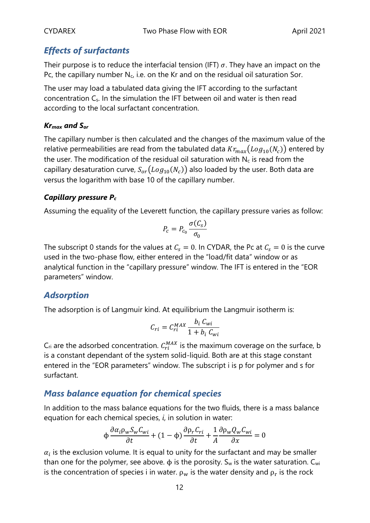# *Effects of surfactants*

Their purpose is to reduce the interfacial tension (IFT)  $\sigma$ . They have an impact on the Pc, the capillary number  $N_c$ , i.e. on the Kr and on the residual oil saturation Sor.

The user may load a tabulated data giving the IFT according to the surfactant concentration Cs. In the simulation the IFT between oil and water is then read according to the local surfactant concentration.

## *Krmax and Sor*

The capillary number is then calculated and the changes of the maximum value of the relative permeabilities are read from the tabulated data  ${Kr_{max}}(Log_{10}(N_c))$  entered by the user. The modification of the residual oil saturation with  $N_c$  is read from the capillary desaturation curve,  $S_{or}(Log_{10}(N_c))$  also loaded by the user. Both data are versus the logarithm with base 10 of the capillary number.

## *Capillary pressure P<sup>c</sup>*

Assuming the equality of the Leverett function, the capillary pressure varies as follow:

$$
P_c = P_{c_0} \frac{\sigma(C_s)}{\sigma_0}
$$

The subscript 0 stands for the values at  $C_s = 0$ . In CYDAR, the Pc at  $C_s = 0$  is the curve used in the two-phase flow, either entered in the "load/fit data" window or as analytical function in the "capillary pressure" window. The IFT is entered in the "EOR parameters" window.

## *Adsorption*

The adsorption is of Langmuir kind. At equilibrium the Langmuir isotherm is:

$$
C_{ri} = C_{ri}^{MAX} \frac{b_i C_{wi}}{1 + b_i C_{wi}}
$$

 $\mathsf{C}_{\mathsf{ri}}$  are the adsorbed concentration.  $\mathcal{C}_{ri}^{MAX}$  is the maximum coverage on the surface, b is a constant dependant of the system solid-liquid. Both are at this stage constant entered in the "EOR parameters" window. The subscript i is p for polymer and s for surfactant.

## *Mass balance equation for chemical species*

In addition to the mass balance equations for the two fluids, there is a mass balance equation for each chemical species, *i*, in solution in water:

$$
\Phi \frac{\partial \alpha_i \rho_w S_w C_{wi}}{\partial t} + (1 - \Phi) \frac{\partial \rho_r C_{ri}}{\partial t} + \frac{1}{A} \frac{\partial \rho_w Q_w C_{wi}}{\partial x} = 0
$$

 $\alpha_i$  is the exclusion volume. It is equal to unity for the surfactant and may be smaller than one for the polymer, see above.  $\phi$  is the porosity. S<sub>w</sub> is the water saturation. C<sub>wi</sub> is the concentration of species i in water.  $\rho_w$  is the water density and  $\rho_r$  is the rock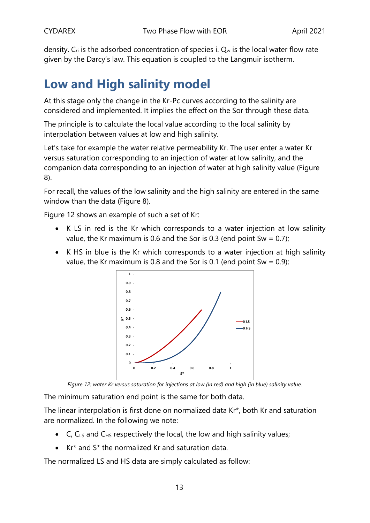density.  $C_{ri}$  is the adsorbed concentration of species i.  $Q_w$  is the local water flow rate given by the Darcy's law. This equation is coupled to the Langmuir isotherm.

# **Low and High salinity model**

At this stage only the change in the Kr-Pc curves according to the salinity are considered and implemented. It implies the effect on the Sor through these data.

The principle is to calculate the local value according to the local salinity by interpolation between values at low and high salinity.

Let's take for example the water relative permeability Kr. The user enter a water Kr versus saturation corresponding to an injection of water at low salinity, and the companion data corresponding to an injection of water at high salinity value [\(Figure](#page-7-0)  [8\)](#page-7-0).

For recall, the values of the low salinity and the high salinity are entered in the same window than the data [\(Figure 8\)](#page-7-0).

[Figure 12](#page-12-0) shows an example of such a set of Kr:

- K LS in red is the Kr which corresponds to a water injection at low salinity value, the Kr maximum is 0.6 and the Sor is 0.3 (end point Sw =  $0.7$ );
- K HS in blue is the Kr which corresponds to a water injection at high salinity value, the Kr maximum is 0.8 and the Sor is 0.1 (end point Sw =  $0.9$ );



*Figure 12: water Kr versus saturation for injections at low (in red) and high (in blue) salinity value.*

<span id="page-12-0"></span>The minimum saturation end point is the same for both data.

The linear interpolation is first done on normalized data Kr\*, both Kr and saturation are normalized. In the following we note:

- C,  $C_{LS}$  and  $C_{HS}$  respectively the local, the low and high salinity values;
- Kr\* and S\* the normalized Kr and saturation data.

The normalized LS and HS data are simply calculated as follow: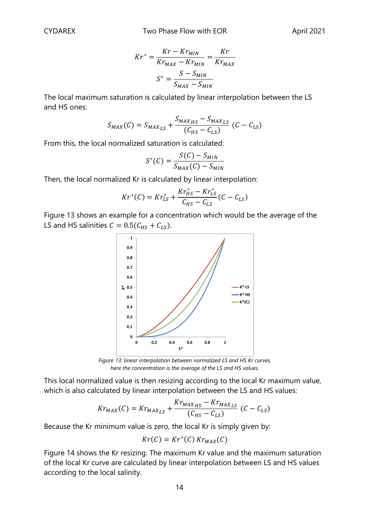$$
Kr^* = \frac{Kr - Kr_{MIN}}{Kr_{MAX} - Kr_{MIN}} = \frac{Kr}{Kr_{MAX}}
$$

$$
S^* = \frac{S - S_{MIN}}{S_{MAX} - S_{MIN}}
$$

The local maximum saturation is calculated by linear interpolation between the LS and HS ones:

$$
S_{MAX}(C) = S_{MAX_{LS}} + \frac{S_{MAX_{HS}} - S_{MAX_{LS}}}{(C_{HS} - C_{LS})} (C - C_{LS})
$$

From this, the local normalized saturation is calculated:

$$
S^*(C) = \frac{S(C) - S_{MIN}}{S_{MAX}(C) - S_{MIN}}
$$

Then, the local normalized Kr is calculated by linear interpolation:

$$
Kr^*(C) = Kr^*_{LS} + \frac{Kr^*_{HS} - Kr^*_{LS}}{C_{HS} - C_{LS}}(C - C_{LS})
$$

[Figure 13](#page-13-0) shows an example for a concentration which would be the average of the LS and HS salinities  $C = 0.5(C_{HS} + C_{LS})$ .



*Figure 13: linear interpolation between normalized LS and HS Kr curves, here the concentration is the average of the LS and HS values.*

<span id="page-13-0"></span>This local normalized value is then resizing according to the local Kr maximum value, which is also calculated by linear interpolation between the LS and HS values:

$$
Kr_{MAX}(C) = Kr_{MAX_{LS}} + \frac{Kr_{MAX_{HS}} - Kr_{MAX_{LS}}}{(C_{HS} - C_{LS})} (C - C_{LS})
$$

Because the Kr minimum value is zero, the local Kr is simply given by:

$$
Kr(C) = Kr^*(C) Kr_{MAX}(C)
$$

[Figure 14](#page-14-0) shows the Kr resizing. The maximum Kr value and the maximum saturation of the local Kr curve are calculated by linear interpolation between LS and HS values according to the local salinity.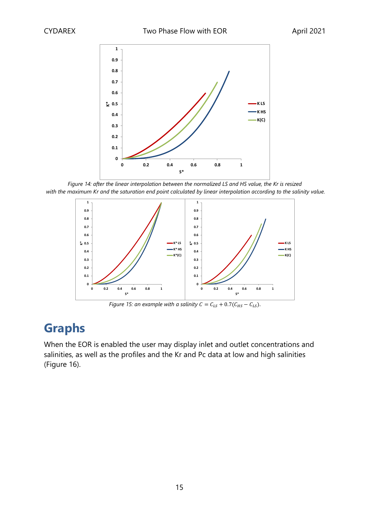

<span id="page-14-0"></span>*Figure 14: after the linear interpolation between the normalized LS and HS value, the Kr is resized with the maximum Kr and the saturation end point calculated by linear interpolation according to the salinity value.*



*Figure 15: an example with a salinity*  $C = C_{LS} + 0.7(C_{HS} - C_{LS})$ *.* 

# **Graphs**

When the EOR is enabled the user may display inlet and outlet concentrations and salinities, as well as the profiles and the Kr and Pc data at low and high salinities [\(Figure 16\)](#page-15-0).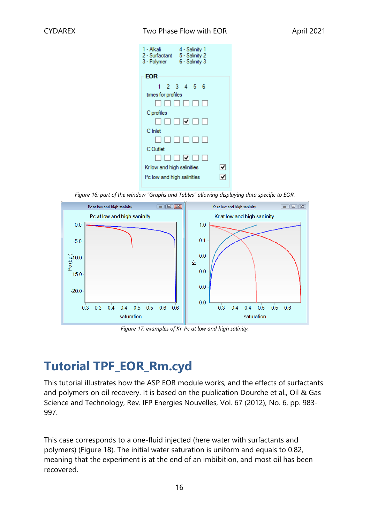#### CYDAREX Two Phase Flow with EOR April 2021

| 1 - Alkali<br>4 - Salinity 1<br>5 - Salinity 2<br>2 - Surfactant<br>6 - Salinity 3<br>3 - Polymer |  |
|---------------------------------------------------------------------------------------------------|--|
| EOR                                                                                               |  |
| 1 2 3 4 5 6                                                                                       |  |
| times for profiles                                                                                |  |
| N N N N N N N                                                                                     |  |
| C profiles                                                                                        |  |
| □□□□□□                                                                                            |  |
| C Inlet                                                                                           |  |
|                                                                                                   |  |
| C Outlet                                                                                          |  |
| $\blacksquare$ $\blacksquare$ $\blacksquare$ $\blacksquare$ $\blacksquare$                        |  |
| Kr low and high salinities                                                                        |  |
| Pc low and high salinities                                                                        |  |
|                                                                                                   |  |

*Figure 16: part of the window "Graphs and Tables" allowing displaying data specific to EOR.*

<span id="page-15-0"></span>

*Figure 17: examples of Kr-Pc at low and high salinity.*

# **Tutorial TPF\_EOR\_Rm.cyd**

This tutorial illustrates how the ASP EOR module works, and the effects of surfactants and polymers on oil recovery. It is based on the publication Dourche et al., Oil & Gas Science and Technology, Rev. IFP Energies Nouvelles, Vol. 67 (2012), No. 6, pp. 983- 997.

This case corresponds to a one-fluid injected (here water with surfactants and polymers) [\(Figure 18\)](#page-16-0). The initial water saturation is uniform and equals to 0.82, meaning that the experiment is at the end of an imbibition, and most oil has been recovered.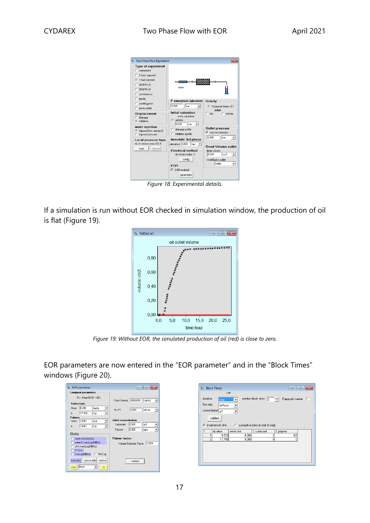| <b>B</b> Two-Phase Flow Experiment                                                                                                                                                                                                                               |                                                                                                                                                                                                                                                                                                                                                              | ж                                                                                                                                                                                                                                                                                    |
|------------------------------------------------------------------------------------------------------------------------------------------------------------------------------------------------------------------------------------------------------------------|--------------------------------------------------------------------------------------------------------------------------------------------------------------------------------------------------------------------------------------------------------------------------------------------------------------------------------------------------------------|--------------------------------------------------------------------------------------------------------------------------------------------------------------------------------------------------------------------------------------------------------------------------------------|
| <b>Type of experiment</b><br>$C$ customized<br>C 2 fluids injected<br>← 1 fluid injected<br>$C$ SDM $Pc>0$<br>$C$ SDM $Pc C$<br>C spontaneous                                                                                                                    | water                                                                                                                                                                                                                                                                                                                                                        |                                                                                                                                                                                                                                                                                      |
| C gravity<br>$C$ centrifugation<br>C porous plate<br><b>Displacement</b><br>drainage<br>C.<br><sup>6</sup> imbibition<br>water injection<br>C imposed flow rate (or 0)<br>imposed pressure<br>Local pressure taps<br>nb of sensors [max 20]: 0<br>load<br>remove | P atmospheric (absolute)<br>1.000<br>bar<br>$\mathbf{v}$<br>Initial saturation<br>water saturation<br>$G$ uniform<br>$ $ frac. $-$<br>0.820<br>c drainage profile<br>C imbibition profile<br>Immobile 3rd phase<br>saturation 0,000 frac. v<br><b>Electrical method</b><br>nb of electrodes: 0<br>config<br><b>FOB</b><br>$\nabla$ EDB enabled<br>parameters | Gravity<br>(C Horizontal (theta =0")<br>inlet<br>$C$ top<br>$C$ bottom<br>Outlet pressure<br>imposed pressure<br>⊽<br>0.000<br>bar<br>$\overline{\phantom{0}}$<br><b>Dead Volume outlet</b><br>dead volume<br>0.000<br>cm <sub>3</sub><br>▾<br>initial fluid in outlet<br>water<br>▼ |

*Figure 18: Experimental details.*

<span id="page-16-0"></span>If a simulation is run without EOR checked in simulation window, the production of oil is flat [\(Figure 19\)](#page-16-1).



*Figure 19: Without EOR, the simulated production of oil (red) is close to zero.*

<span id="page-16-1"></span>EOR parameters are now entered in the "EOR parameter" and in the "Block Times" windows [\(Figure 20\)](#page-17-0).

|           | <b>B</b> EOR parameters |                            | 10 L<br>$-$                                     |
|-----------|-------------------------|----------------------------|-------------------------------------------------|
|           | Langmuir parameters     |                            |                                                 |
|           | $Cs = Cmax bC/(1 + bC)$ |                            | Rock Density 2000,000<br>Kg/m3                  |
|           | <b>Surfactants</b>      |                            |                                                 |
| Cmax      | D.380                   | ma/a<br>▼                  | 0.000<br>mN/m<br>Pc IFT<br>$\blacktriangledown$ |
| h         | 57,830                  | Va<br>$\blacktriangledown$ |                                                 |
| Polymer   |                         |                            | initial concentration                           |
| Cmax      | 0,000                   | g/g                        |                                                 |
| Ь         | 0.000                   | Vg<br>$\cdot$              | 0.000<br>Surfactant<br>qЛ<br>▼                  |
|           |                         |                            | 0.000<br>Polymer<br>ppm<br>۰                    |
| Data      |                         |                            |                                                 |
|           | Water viscosity(Cp)     |                            | <b>Polymer factors</b>                          |
|           | water Kr max(Log10(Nc)) |                            | 1.000<br>Volume Exclusion Eactor                |
|           | oil Kr max[Log10(Nc)]   |                            |                                                 |
|           | IFT(Cs)                 |                            |                                                 |
|           | Sor(Log10(Nc))          | $C$ Rk(Crp)                |                                                 |
| load data | view/modify             | remove                     | validate                                        |
| Edit      | linear                  | 欣                          |                                                 |

|                | <b>B</b> Block Times |                      |                                    | o<br>$\Box$          |   |
|----------------|----------------------|----------------------|------------------------------------|----------------------|---|
|                | unit                 |                      |                                    |                      |   |
| duration       | hour                 | $\blacktriangledown$ | number block times<br>12.          | Rapoport number<br>÷ | ш |
| flow rate      | ml/hour              |                      |                                    |                      |   |
|                |                      |                      |                                    |                      |   |
|                | concentration g/l    | $\cdot$              |                                    |                      |   |
|                | validate             |                      |                                    |                      |   |
|                |                      |                      |                                    |                      |   |
|                |                      |                      |                                    |                      |   |
|                | incremental time     |                      | C cumulative (time at end of step) |                      |   |
|                |                      |                      |                                    |                      |   |
| 1              | duration             | water rate           | C surfactant                       | C polymer            |   |
| $\overline{c}$ | 8,510                | 9,000<br>9,000       | $\overline{c}$<br>Ō                | 0,5<br>0             |   |
| G.             | 17,750               |                      |                                    |                      |   |
|                |                      |                      |                                    |                      |   |
|                |                      |                      |                                    |                      |   |
|                |                      |                      |                                    |                      |   |
|                |                      |                      |                                    |                      |   |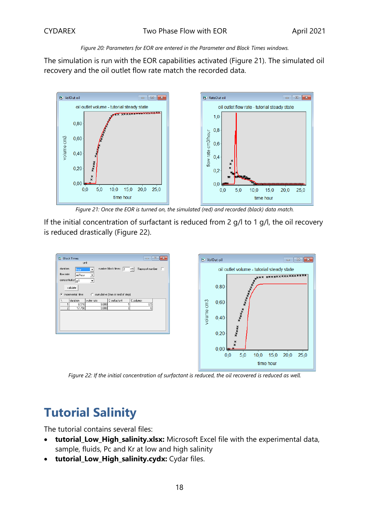#### *Figure 20: Parameters for EOR are entered in the Parameter and Block Times windows.*

<span id="page-17-0"></span>The simulation is run with the EOR capabilities activated [\(Figure 21\)](#page-17-1). The simulated oil recovery and the oil outlet flow rate match the recorded data.



*Figure 21: Once the EOR is turned on, the simulated (red) and recorded (black) data match.*

<span id="page-17-1"></span>If the initial concentration of surfactant is reduced from 2 g/l to 1 g/l, the oil recovery is reduced drastically [\(Figure 22\)](#page-17-2).



<span id="page-17-2"></span>*Figure 22: If the initial concentration of surfactant is reduced, the oil recovered is reduced as well.*

# **Tutorial Salinity**

The tutorial contains several files:

- **tutorial\_Low\_High\_salinity.xlsx:** Microsoft Excel file with the experimental data, sample, fluids, Pc and Kr at low and high salinity
- tutorial Low High salinity.cydx: Cydar files.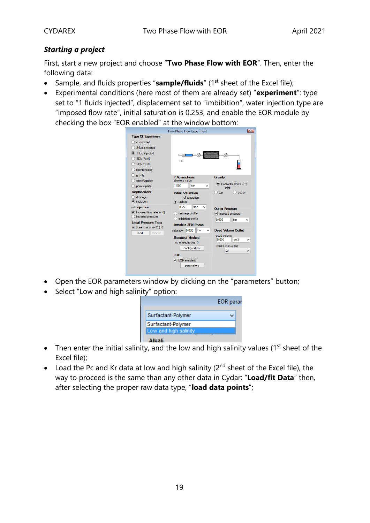## *Starting a project*

First, start a new project and choose "**Two Phase Flow with EOR**". Then, enter the following data:

- Sample, and fluids properties "**sample/fluids**" (1<sup>st</sup> sheet of the Excel file);
- Experimental conditions (here most of them are already set) "**experiment**": type set to "1 fluids injected", displacement set to "imbibition", water injection type are "imposed flow rate", initial saturation is 0.253, and enable the EOR module by checking the box "EOR enabled" at the window bottom:



- Open the EOR parameters window by clicking on the "parameters" button;
- Select "Low and high salinity" option:

|                       | <b>EOR</b> paral |
|-----------------------|------------------|
| Surfactant-Polymer    |                  |
| Surfactant-Polymer    |                  |
| Low and high salinity |                  |
|                       |                  |

- Then enter the initial salinity, and the low and high salinity values ( $1<sup>st</sup>$  sheet of the Excel file);
- Load the Pc and Kr data at low and high salinity ( $2^{nd}$  sheet of the Excel file), the way to proceed is the same than any other data in Cydar: "**Load/fit Data**" then, after selecting the proper raw data type, "**load data points**";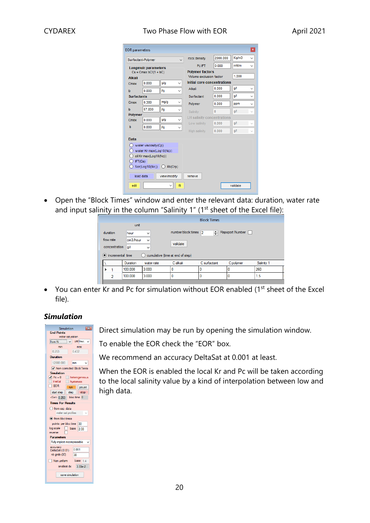### CYDAREX Two Phase Flow with EOR April 2021

| <b>EOR</b> parameters |                            |                     |                                   |          |          | $\pmb{\mathsf{x}}$ |
|-----------------------|----------------------------|---------------------|-----------------------------------|----------|----------|--------------------|
|                       | Surfactant-Polymer         | $\checkmark$        | rock density                      | 2000.000 | Kg/m3    |                    |
|                       | <b>Langmuir parameters</b> |                     | Pc IFT                            | 0.000    | mN/m     | $\checkmark$       |
|                       | $Cs = Cmax bC/(1 + bC)$    |                     | <b>Polymer factors</b>            |          |          |                    |
| <b>Alkali</b>         |                            |                     | Volume exclusion factor           |          | 1.000    |                    |
| Cmax                  | 0.000                      | g/g<br>$\checkmark$ | Initial core concentrations       |          |          |                    |
| b                     | 0.000                      | Vq                  | Alkali                            | 0.000    | q/l      |                    |
| <b>Surfactants</b>    |                            |                     | Surfactant                        | 0.000    | qΛ       |                    |
| Cmax                  | 0.380                      | mg/g                | Polymer                           | 0.000    | ppm      | $\checkmark$       |
| h                     | 57830                      | Va<br>$\checkmark$  | Salinity                          | $\bf{0}$ | Q/       |                    |
| <b>Polymer</b>        |                            |                     | <b>LH salinity concentrations</b> |          |          |                    |
| Cmax                  | 0.000                      | g/g<br>$\checkmark$ | Low salinity                      | 0.000    | Q/       |                    |
| b                     | 0.000                      | Va<br>$\checkmark$  | High salinity                     | 0.000    | q/l      |                    |
| <b>Data</b>           | water viscosity(Cp)        |                     |                                   |          |          |                    |
|                       | water Kr max(Log10(Nc))    |                     |                                   |          |          |                    |
|                       | oil Kr max(Log10(Nc))      |                     |                                   |          |          |                    |
| IFT(Cs)               |                            |                     |                                   |          |          |                    |
|                       | Sor(Log10(Nc))             | $\bigcirc$ Rk(Crp)  |                                   |          |          |                    |
|                       | load data                  | view/modify         | remove                            |          |          |                    |
| edit                  |                            | $\checkmark$<br>fit |                                   |          | validate |                    |
|                       |                            |                     |                                   |          |          |                    |

• Open the "Block Times" window and enter the relevant data: duration, water rate and input salinity in the column "Salinity 1" ( $1<sup>st</sup>$  sheet of the Excel file):

|                    | <b>Block Times</b> |                                       |                      |              |                 |            |
|--------------------|--------------------|---------------------------------------|----------------------|--------------|-----------------|------------|
|                    | unit               |                                       |                      |              |                 |            |
| duration           | hour               | $\checkmark$                          | number block times 2 | $\div$       | Rapoport Number |            |
| flow rate          | cm3/hour           | $\checkmark$                          |                      |              |                 |            |
| concentration      | Q/                 | v                                     | validate             |              |                 |            |
| • incremental time |                    | cumulative (time at end of step)<br>O |                      |              |                 |            |
|                    | Duration           | water rate                            | C alkali             | C surfactant | C polymer       | Salinity 1 |
|                    | 100.000            | 3.000                                 |                      |              |                 | 260        |
| 2                  | 100,000            | 3.000                                 |                      |              |                 | 1.5        |
|                    |                    |                                       |                      |              |                 |            |

• You can enter Kr and Pc for simulation without EOR enabled  $(1<sup>st</sup>$  sheet of the Excel file).

## *Simulation*

| $\mathbb{R}$<br>Simulation             |  |  |  |  |  |  |
|----------------------------------------|--|--|--|--|--|--|
| <b>End Points</b>                      |  |  |  |  |  |  |
| water saturation                       |  |  |  |  |  |  |
| unit frac.<br>from Kr                  |  |  |  |  |  |  |
| min<br>max                             |  |  |  |  |  |  |
| 0.253<br>0.432                         |  |  |  |  |  |  |
| Duration                               |  |  |  |  |  |  |
| 12000.000<br>min                       |  |  |  |  |  |  |
| ✔ from corrected Block Times           |  |  |  |  |  |  |
| <b>Simulation</b>                      |  |  |  |  |  |  |
| $\sqrt{P}c = 0$<br>heterogeneous       |  |  |  |  |  |  |
| inertial<br>hysteresis                 |  |  |  |  |  |  |
| <b>EOR</b><br>pause<br>run             |  |  |  |  |  |  |
| step<br>start step<br>stop             |  |  |  |  |  |  |
| $<$ Sw> 0.253<br>bloc time 0           |  |  |  |  |  |  |
| <b>Times For Results</b>               |  |  |  |  |  |  |
| ofrom exp. data                        |  |  |  |  |  |  |
| water sat profiles                     |  |  |  |  |  |  |
| (a) from bloc times                    |  |  |  |  |  |  |
| points per bloc time<br>30             |  |  |  |  |  |  |
| log scale<br>base<br>2.00              |  |  |  |  |  |  |
| reverse                                |  |  |  |  |  |  |
| <b>Parameters</b>                      |  |  |  |  |  |  |
| Fully implicit incompressible          |  |  |  |  |  |  |
| accuracy<br>0.001                      |  |  |  |  |  |  |
| DeltaSat (0.01)<br>nb grids (30)<br>30 |  |  |  |  |  |  |
|                                        |  |  |  |  |  |  |
| Non uniform<br>base<br>1.4             |  |  |  |  |  |  |
| smallest dx<br>$3.33e-2$               |  |  |  |  |  |  |
| save simulation                        |  |  |  |  |  |  |

Direct simulation may be run by opening the simulation window.

To enable the EOR check the "EOR" box.

We recommend an accuracy DeltaSat at 0.001 at least.

When the EOR is enabled the local Kr and Pc will be taken according to the local salinity value by a kind of interpolation between low and high data.